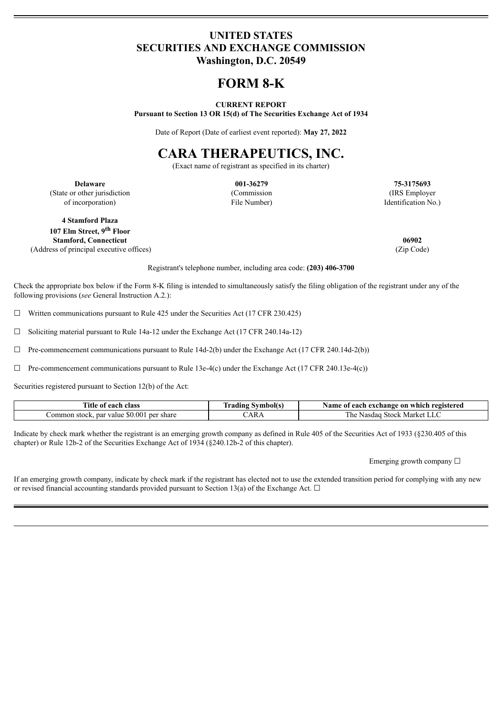### **UNITED STATES SECURITIES AND EXCHANGE COMMISSION Washington, D.C. 20549**

## **FORM 8-K**

#### **CURRENT REPORT**

**Pursuant to Section 13 OR 15(d) of The Securities Exchange Act of 1934**

Date of Report (Date of earliest event reported): **May 27, 2022**

# **CARA THERAPEUTICS, INC.**

(Exact name of registrant as specified in its charter)

**Delaware 001-36279 75-3175693** (State or other jurisdiction of incorporation)

(Commission File Number)

(IRS Employer Identification No.)

**4 Stamford Plaza 107 Elm Street, 9 th Floor Stamford, Connecticut 06902** (Address of principal executive offices) (Zip Code)

Registrant's telephone number, including area code: **(203) 406-3700**

Check the appropriate box below if the Form 8-K filing is intended to simultaneously satisfy the filing obligation of the registrant under any of the following provisions (*see* General Instruction A.2.):

 $\Box$  Written communications pursuant to Rule 425 under the Securities Act (17 CFR 230.425)

 $\Box$  Soliciting material pursuant to Rule 14a-12 under the Exchange Act (17 CFR 240.14a-12)

 $\Box$  Pre-commencement communications pursuant to Rule 14d-2(b) under the Exchange Act (17 CFR 240.14d-2(b))

 $\Box$  Pre-commencement communications pursuant to Rule 13e-4(c) under the Exchange Act (17 CFR 240.13e-4(c))

Securities registered pursuant to Section 12(b) of the Act:

| ïtle<br>class<br>each<br>-01                                   | --<br>Symbol(s. | ' each exchange on which registered<br>Name of  |
|----------------------------------------------------------------|-----------------|-------------------------------------------------|
| $\cdot$ value \$0.001<br>common<br>per share<br>par<br>`stock. | AR/             | Market<br>. he<br>Stock<br>Nasdad<br><b>LLV</b> |

Indicate by check mark whether the registrant is an emerging growth company as defined in Rule 405 of the Securities Act of 1933 (§230.405 of this chapter) or Rule 12b-2 of the Securities Exchange Act of 1934 (§240.12b-2 of this chapter).

Emerging growth company  $\Box$ 

If an emerging growth company, indicate by check mark if the registrant has elected not to use the extended transition period for complying with any new or revised financial accounting standards provided pursuant to Section 13(a) of the Exchange Act.  $\Box$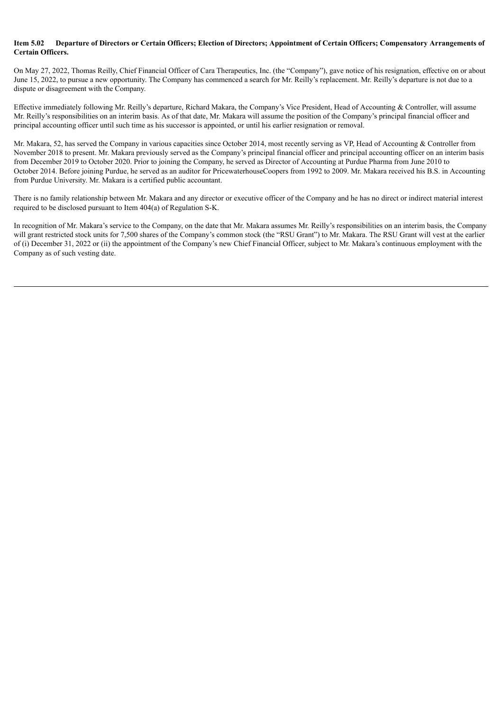#### Item 5.02 Departure of Directors or Certain Officers: Election of Directors: Appointment of Certain Officers: Compensatory Arrangements of **Certain Officers.**

On May 27, 2022, Thomas Reilly, Chief Financial Officer of Cara Therapeutics, Inc. (the "Company"), gave notice of his resignation, effective on or about June 15, 2022, to pursue a new opportunity. The Company has commenced a search for Mr. Reilly's replacement. Mr. Reilly's departure is not due to a dispute or disagreement with the Company.

Effective immediately following Mr. Reilly's departure, Richard Makara, the Company's Vice President, Head of Accounting & Controller, will assume Mr. Reilly's responsibilities on an interim basis. As of that date, Mr. Makara will assume the position of the Company's principal financial officer and principal accounting officer until such time as his successor is appointed, or until his earlier resignation or removal.

Mr. Makara, 52, has served the Company in various capacities since October 2014, most recently serving as VP, Head of Accounting & Controller from November 2018 to present. Mr. Makara previously served as the Company's principal financial officer and principal accounting officer on an interim basis from December 2019 to October 2020. Prior to joining the Company, he served as Director of Accounting at Purdue Pharma from June 2010 to October 2014. Before joining Purdue, he served as an auditor for PricewaterhouseCoopers from 1992 to 2009. Mr. Makara received his B.S. in Accounting from Purdue University. Mr. Makara is a certified public accountant.

There is no family relationship between Mr. Makara and any director or executive officer of the Company and he has no direct or indirect material interest required to be disclosed pursuant to Item 404(a) of Regulation S-K.

In recognition of Mr. Makara's service to the Company, on the date that Mr. Makara assumes Mr. Reilly's responsibilities on an interim basis, the Company will grant restricted stock units for 7,500 shares of the Company's common stock (the "RSU Grant") to Mr. Makara. The RSU Grant will vest at the earlier of (i) December 31, 2022 or (ii) the appointment of the Company's new Chief Financial Officer, subject to Mr. Makara's continuous employment with the Company as of such vesting date.